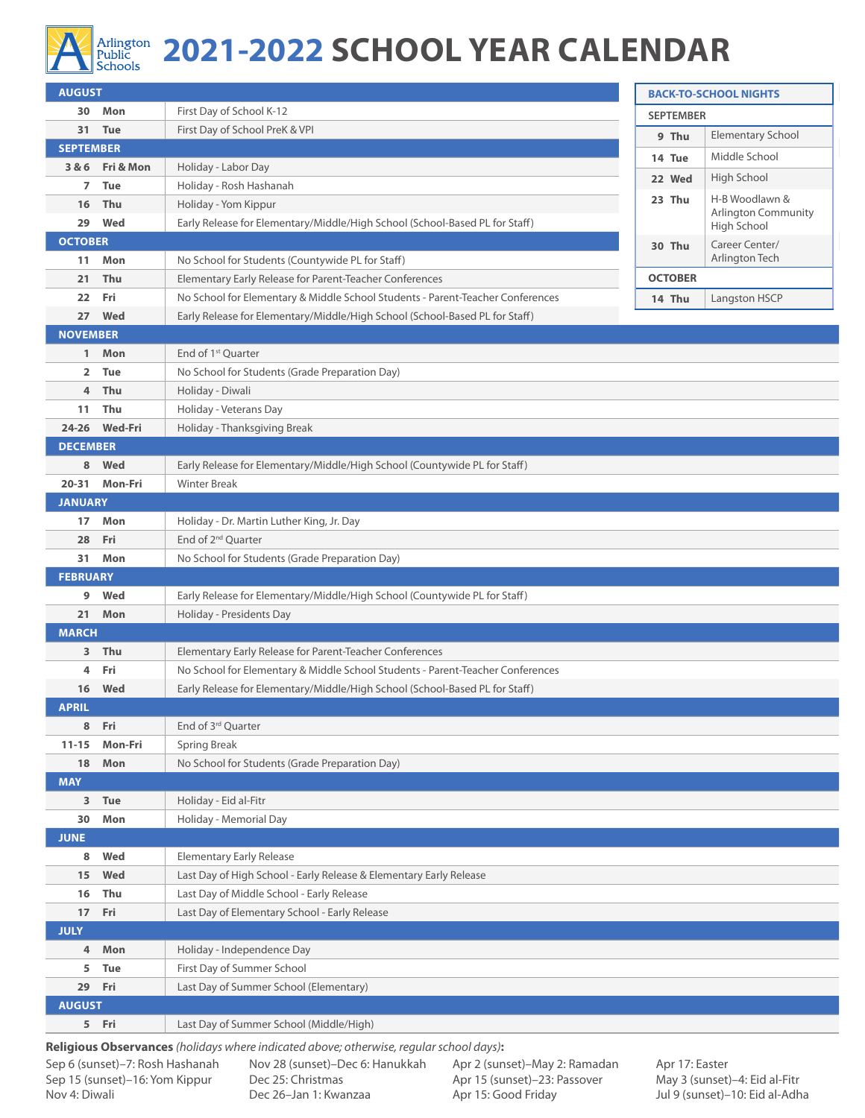

## Arlington **2021-2022 SCHOOL YEAR CALENDAR**

| <b>AUGUST</b>      |                 | <b>BACK-TO-SCHOOL NIGHTS</b>                                                                                |                  |                                  |
|--------------------|-----------------|-------------------------------------------------------------------------------------------------------------|------------------|----------------------------------|
|                    | 30 Mon          | First Day of School K-12                                                                                    | <b>SEPTEMBER</b> |                                  |
|                    | 31 Tue          | First Day of School PreK & VPI                                                                              | 9 Thu            | Elementary School                |
| <b>SEPTEMBER</b>   |                 |                                                                                                             | 14 Tue           | Middle School                    |
|                    | 3 & 6 Fri & Mon | Holiday - Labor Day                                                                                         | 22 Wed           | High School                      |
| 7                  | <b>Tue</b>      | Holiday - Rosh Hashanah                                                                                     | 23 Thu           | H-B Woodlawn &                   |
| 16                 | Thu             | Holiday - Yom Kippur                                                                                        |                  | <b>Arlington Community</b>       |
| 29                 | Wed             | Early Release for Elementary/Middle/High School (School-Based PL for Staff)                                 |                  | High School                      |
| <b>OCTOBER</b>     |                 |                                                                                                             | 30 Thu           | Career Center/<br>Arlington Tech |
| 11<br>21           | Mon<br>Thu      | No School for Students (Countywide PL for Staff)<br>Elementary Early Release for Parent-Teacher Conferences | <b>OCTOBER</b>   |                                  |
| 22                 | Fri             | No School for Elementary & Middle School Students - Parent-Teacher Conferences                              |                  | Langston HSCP                    |
| 27                 | Wed             | Early Release for Elementary/Middle/High School (School-Based PL for Staff)                                 | 14 Thu           |                                  |
| <b>NOVEMBER</b>    |                 |                                                                                                             |                  |                                  |
| $\mathbf{1}$       | Mon             | End of 1 <sup>st</sup> Quarter                                                                              |                  |                                  |
| 2                  | <b>Tue</b>      | No School for Students (Grade Preparation Day)                                                              |                  |                                  |
| 4                  | Thu             | Holiday - Diwali                                                                                            |                  |                                  |
| 11                 | Thu             | Holiday - Veterans Day                                                                                      |                  |                                  |
|                    | 24-26 Wed-Fri   | Holiday - Thanksgiving Break                                                                                |                  |                                  |
| <b>DECEMBER</b>    |                 |                                                                                                             |                  |                                  |
| 8                  | Wed             | Early Release for Elementary/Middle/High School (Countywide PL for Staff)                                   |                  |                                  |
| $20 - 31$          | Mon-Fri         | <b>Winter Break</b>                                                                                         |                  |                                  |
| <b>JANUARY</b>     |                 |                                                                                                             |                  |                                  |
| 17 <sup>2</sup>    | Mon             | Holiday - Dr. Martin Luther King, Jr. Day                                                                   |                  |                                  |
| 28                 | Fri             | End of 2 <sup>nd</sup> Quarter                                                                              |                  |                                  |
| 31                 | Mon             | No School for Students (Grade Preparation Day)                                                              |                  |                                  |
| <b>FEBRUARY</b>    |                 |                                                                                                             |                  |                                  |
| 9                  | Wed             | Early Release for Elementary/Middle/High School (Countywide PL for Staff)                                   |                  |                                  |
| 21                 | Mon             | Holiday - Presidents Day                                                                                    |                  |                                  |
| <b>MARCH</b>       |                 |                                                                                                             |                  |                                  |
| 3                  | Thu             | Elementary Early Release for Parent-Teacher Conferences                                                     |                  |                                  |
| 4                  | Fri             | No School for Elementary & Middle School Students - Parent-Teacher Conferences                              |                  |                                  |
| 16<br><b>APRIL</b> | Wed             | Early Release for Elementary/Middle/High School (School-Based PL for Staff)                                 |                  |                                  |
| 8                  | Fri             | End of 3rd Quarter                                                                                          |                  |                                  |
| $11 - 15$          | Mon-Fri         | Spring Break                                                                                                |                  |                                  |
| 18                 | Mon             | No School for Students (Grade Preparation Day)                                                              |                  |                                  |
| <b>MAY</b>         |                 |                                                                                                             |                  |                                  |
|                    | 3 Tue           | Holiday - Eid al-Fitr                                                                                       |                  |                                  |
| 30                 | Mon             | Holiday - Memorial Day                                                                                      |                  |                                  |
| <b>JUNE</b>        |                 |                                                                                                             |                  |                                  |
| 8                  | Wed             | <b>Elementary Early Release</b>                                                                             |                  |                                  |
| 15                 | Wed             | Last Day of High School - Early Release & Elementary Early Release                                          |                  |                                  |
| 16                 | Thu             | Last Day of Middle School - Early Release                                                                   |                  |                                  |
| 17                 | Fri             | Last Day of Elementary School - Early Release                                                               |                  |                                  |
| <b>JULY</b>        |                 |                                                                                                             |                  |                                  |
| 4                  | Mon             | Holiday - Independence Day                                                                                  |                  |                                  |
| 5                  | Tue             | First Day of Summer School                                                                                  |                  |                                  |
|                    | 29 Fri          | Last Day of Summer School (Elementary)                                                                      |                  |                                  |
| <b>AUGUST</b>      |                 |                                                                                                             |                  |                                  |
|                    | 5 Fri           | Last Day of Summer School (Middle/High)                                                                     |                  |                                  |
|                    |                 |                                                                                                             |                  |                                  |

**Religious Observances** *(holidays where indicated above; otherwise, regular school days)***:**

Sep 6 (sunset)–7: Rosh Hashanah Sep 15 (sunset)–16: Yom Kippur Nov 4: Diwali

Nov 28 (sunset)–Dec 6: Hanukkah Dec 25: Christmas Dec 26–Jan 1: Kwanzaa

Apr 2 (sunset)–May 2: Ramadan Apr 15 (sunset)–23: Passover Apr 15: Good Friday

Apr 17: Easter May 3 (sunset)–4: Eid al-Fitr Jul 9 (sunset)–10: Eid al-Adha